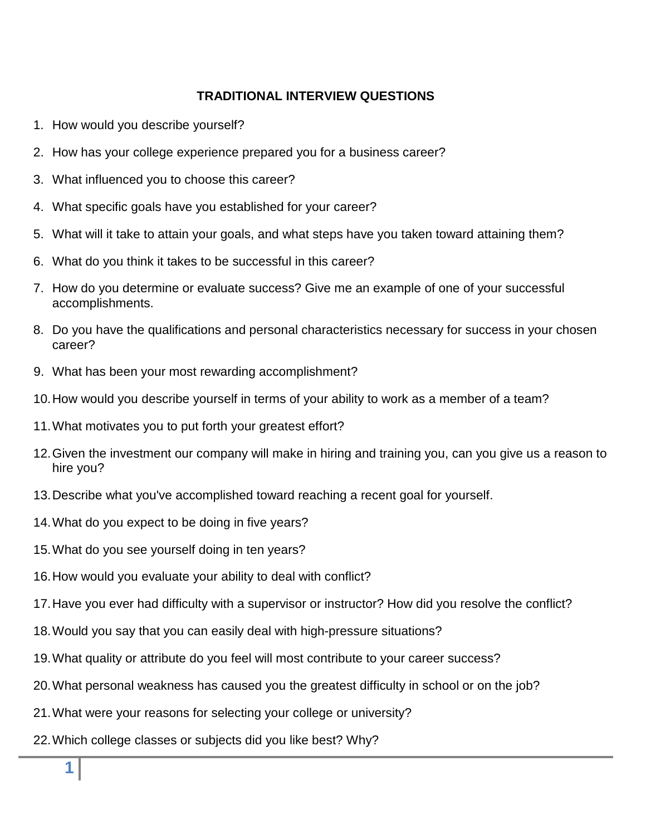## **TRADITIONAL INTERVIEW QUESTIONS**

- 1. How would you describe yourself?
- 2. How has your college experience prepared you for a business career?
- 3. What influenced you to choose this career?
- 4. What specific goals have you established for your career?
- 5. What will it take to attain your goals, and what steps have you taken toward attaining them?
- 6. What do you think it takes to be successful in this career?
- 7. How do you determine or evaluate success? Give me an example of one of your successful accomplishments.
- 8. Do you have the qualifications and personal characteristics necessary for success in your chosen career?
- 9. What has been your most rewarding accomplishment?
- 10.How would you describe yourself in terms of your ability to work as a member of a team?
- 11.What motivates you to put forth your greatest effort?
- 12.Given the investment our company will make in hiring and training you, can you give us a reason to hire you?
- 13.Describe what you've accomplished toward reaching a recent goal for yourself.
- 14.What do you expect to be doing in five years?
- 15.What do you see yourself doing in ten years?
- 16.How would you evaluate your ability to deal with conflict?
- 17.Have you ever had difficulty with a supervisor or instructor? How did you resolve the conflict?
- 18.Would you say that you can easily deal with high-pressure situations?
- 19.What quality or attribute do you feel will most contribute to your career success?
- 20.What personal weakness has caused you the greatest difficulty in school or on the job?
- 21.What were your reasons for selecting your college or university?
- 22.Which [college classes](http://www.quintcareers.com/interview_question_database/interview_questions.html) or subjects did you like best? Why?